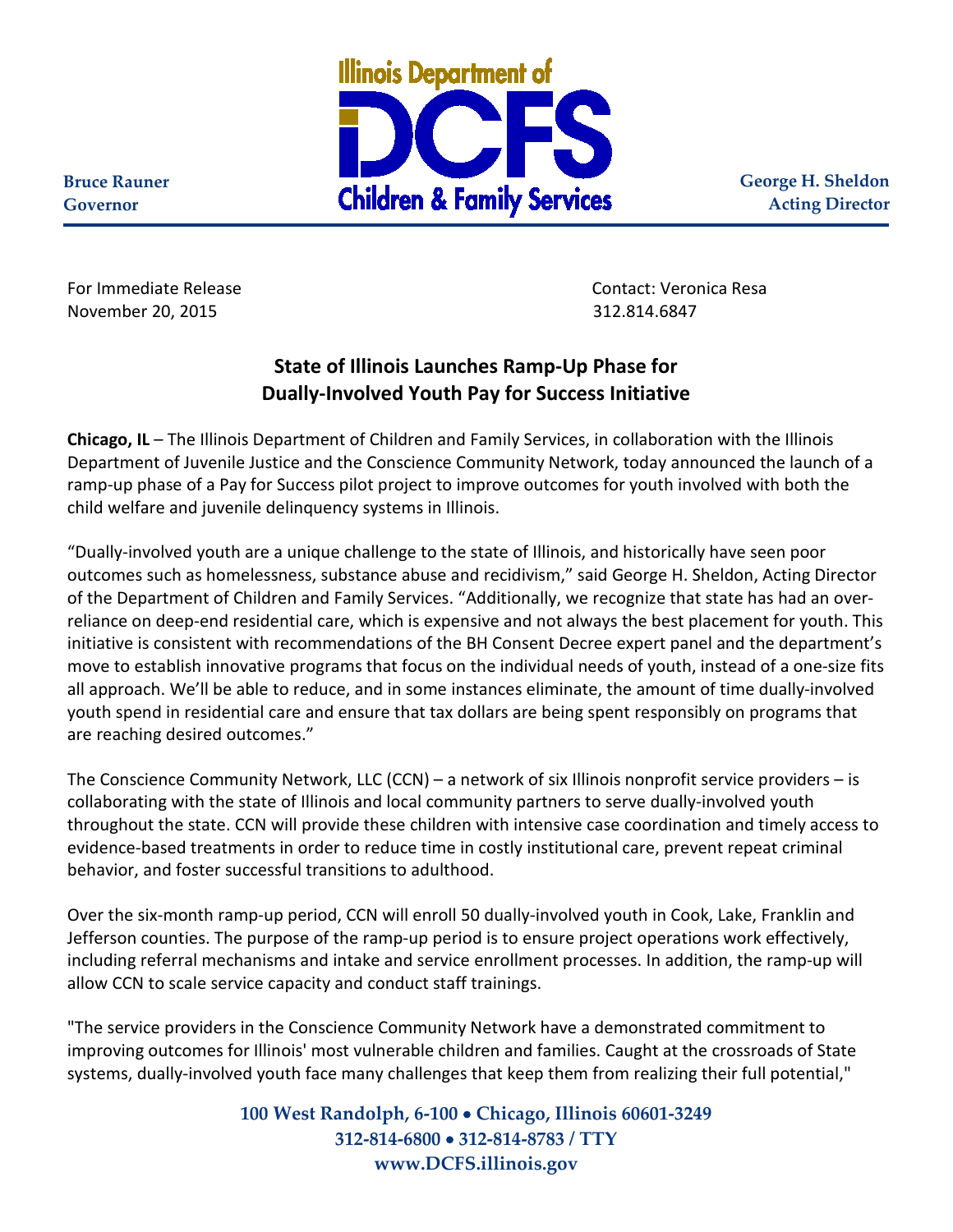

**George H. Sheldon Acting Director**

**Bruce Rauner Governor**

For Immediate Release Contact: Veronica Resa November 20, 2015 312.814.6847

## **State of Illinois Launches Ramp-Up Phase for Dually-Involved Youth Pay for Success Initiative**

**Chicago, IL** – The Illinois Department of Children and Family Services, in collaboration with the Illinois Department of Juvenile Justice and the Conscience Community Network, today announced the launch of a ramp-up phase of a Pay for Success pilot project to improve outcomes for youth involved with both the child welfare and juvenile delinquency systems in Illinois.

"Dually-involved youth are a unique challenge to the state of Illinois, and historically have seen poor outcomes such as homelessness, substance abuse and recidivism," said George H. Sheldon, Acting Director of the Department of Children and Family Services. "Additionally, we recognize that state has had an overreliance on deep-end residential care, which is expensive and not always the best placement for youth. This initiative is consistent with recommendations of the BH Consent Decree expert panel and the department's move to establish innovative programs that focus on the individual needs of youth, instead of a one-size fits all approach. We'll be able to reduce, and in some instances eliminate, the amount of time dually-involved youth spend in residential care and ensure that tax dollars are being spent responsibly on programs that are reaching desired outcomes."

The Conscience Community Network, LLC (CCN) – a network of six Illinois nonprofit service providers – is collaborating with the state of Illinois and local community partners to serve dually-involved youth throughout the state. CCN will provide these children with intensive case coordination and timely access to evidence-based treatments in order to reduce time in costly institutional care, prevent repeat criminal behavior, and foster successful transitions to adulthood.

Over the six-month ramp-up period, CCN will enroll 50 dually-involved youth in Cook, Lake, Franklin and Jefferson counties. The purpose of the ramp-up period is to ensure project operations work effectively, including referral mechanisms and intake and service enrollment processes. In addition, the ramp-up will allow CCN to scale service capacity and conduct staff trainings.

"The service providers in the Conscience Community Network have a demonstrated commitment to improving outcomes for Illinois' most vulnerable children and families. Caught at the crossroads of State systems, dually-involved youth face many challenges that keep them from realizing their full potential,"

> **100 West Randolph, 6-100** • **Chicago, Illinois 60601-3249 312-814-6800** • **312-814-8783 / TTY www.DCFS.illinois.gov**